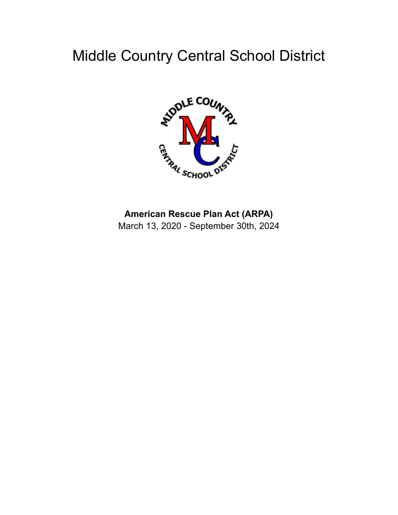# Middle Country Central School District



# **American Rescue Plan Act (ARPA)**

March 13, 2020 - September 30th, 2024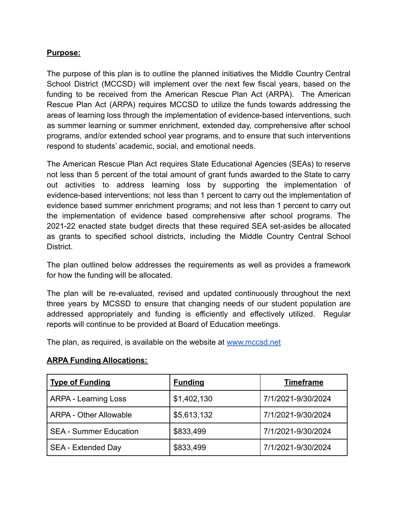# **Purpose:**

The purpose of this plan is to outline the planned initiatives the Middle Country Central School District (MCCSD) will implement over the next few fiscal years, based on the funding to be received from the American Rescue Plan Act (ARPA). The American Rescue Plan Act (ARPA) requires MCCSD to utilize the funds towards addressing the areas of learning loss through the implementation of evidence-based interventions, such as summer learning or summer enrichment, extended day, comprehensive after school programs, and/or extended school year programs, and to ensure that such interventions respond to students' academic, social, and emotional needs.

The American Rescue Plan Act requires State Educational Agencies (SEAs) to reserve not less than 5 percent of the total amount of grant funds awarded to the State to carry out activities to address learning loss by supporting the implementation of evidence-based interventions; not less than 1 percent to carry out the implementation of evidence based summer enrichment programs; and not less than 1 percent to carry out the implementation of evidence based comprehensive after school programs. The 2021-22 enacted state budget directs that these required SEA set-asides be allocated as grants to specified school districts, including the Middle Country Central School District.

The plan outlined below addresses the requirements as well as provides a framework for how the funding will be allocated.

The plan will be re-evaluated, revised and updated continuously throughout the next three years by MCSSD to ensure that changing needs of our student population are addressed appropriately and funding is efficiently and effectively utilized. Regular reports will continue to be provided at Board of Education meetings.

The plan, as required, is available on the website at [www.mccsd.net](http://www.mccsd.net)

#### **ARPA Funding Allocations:**

| <b>Type of Funding</b>        | <b>Funding</b> | <b>Timeframe</b>   |
|-------------------------------|----------------|--------------------|
| <b>ARPA - Learning Loss</b>   | \$1,402,130    | 7/1/2021-9/30/2024 |
| <b>ARPA - Other Allowable</b> | \$5,613,132    | 7/1/2021-9/30/2024 |
| <b>SEA - Summer Education</b> | \$833,499      | 7/1/2021-9/30/2024 |
| SEA - Extended Day            | \$833,499      | 7/1/2021-9/30/2024 |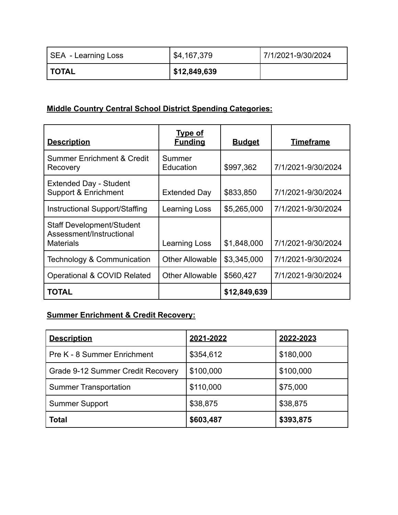| SEA - Learning Loss | \$4,167,379  | 7/1/2021-9/30/2024 |
|---------------------|--------------|--------------------|
| <b>I TOTAL</b>      | \$12,849,639 |                    |

# **Middle Country Central School District Spending Categories:**

| <b>Description</b>                                                        | <b>Type of</b><br><b>Funding</b> | <b>Budget</b> | <u>Timeframe</u>   |
|---------------------------------------------------------------------------|----------------------------------|---------------|--------------------|
| <b>Summer Enrichment &amp; Credit</b><br>Recovery                         | Summer<br>Education              | \$997,362     | 7/1/2021-9/30/2024 |
| <b>Extended Day - Student</b><br>Support & Enrichment                     | <b>Extended Day</b>              | \$833,850     | 7/1/2021-9/30/2024 |
| Instructional Support/Staffing                                            | Learning Loss                    | \$5,265,000   | 7/1/2021-9/30/2024 |
| <b>Staff Development/Student</b><br>Assessment/Instructional<br>Materials | Learning Loss                    | \$1,848,000   | 7/1/2021-9/30/2024 |
| Technology & Communication                                                | <b>Other Allowable</b>           | \$3,345,000   | 7/1/2021-9/30/2024 |
| <b>Operational &amp; COVID Related</b>                                    | <b>Other Allowable</b>           | \$560,427     | 7/1/2021-9/30/2024 |
| <b>TOTAL</b>                                                              |                                  | \$12,849,639  |                    |

# **Summer Enrichment & Credit Recovery:**

| <b>Description</b>                | 2021-2022 | 2022-2023 |
|-----------------------------------|-----------|-----------|
| Pre K - 8 Summer Enrichment       | \$354,612 | \$180,000 |
| Grade 9-12 Summer Credit Recovery | \$100,000 | \$100,000 |
| <b>Summer Transportation</b>      | \$110,000 | \$75,000  |
| <b>Summer Support</b>             | \$38,875  | \$38,875  |
| <b>Total</b>                      | \$603,487 | \$393,875 |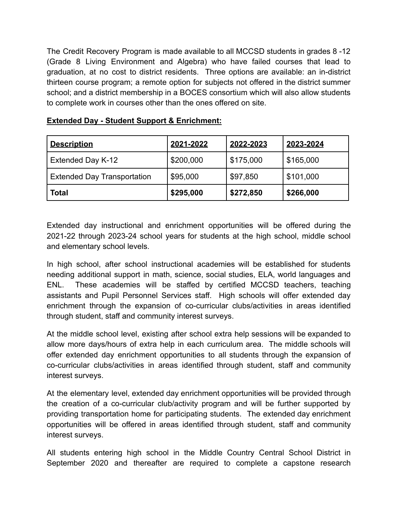The Credit Recovery Program is made available to all MCCSD students in grades 8 -12 (Grade 8 Living Environment and Algebra) who have failed courses that lead to graduation, at no cost to district residents. Three options are available: an in-district thirteen course program; a remote option for subjects not offered in the district summer school; and a district membership in a BOCES consortium which will also allow students to complete work in courses other than the ones offered on site.

| <b>Description</b>                 | 2021-2022 | 2022-2023 | 2023-2024 |
|------------------------------------|-----------|-----------|-----------|
| Extended Day K-12                  | \$200,000 | \$175,000 | \$165,000 |
| <b>Extended Day Transportation</b> | \$95,000  | \$97,850  | \$101,000 |
| <b>Total</b>                       | \$295,000 | \$272,850 | \$266,000 |

# **Extended Day - Student Support & Enrichment:**

Extended day instructional and enrichment opportunities will be offered during the 2021-22 through 2023-24 school years for students at the high school, middle school and elementary school levels.

In high school, after school instructional academies will be established for students needing additional support in math, science, social studies, ELA, world languages and ENL. These academies will be staffed by certified MCCSD teachers, teaching assistants and Pupil Personnel Services staff. High schools will offer extended day enrichment through the expansion of co-curricular clubs/activities in areas identified through student, staff and community interest surveys.

At the middle school level, existing after school extra help sessions will be expanded to allow more days/hours of extra help in each curriculum area. The middle schools will offer extended day enrichment opportunities to all students through the expansion of co-curricular clubs/activities in areas identified through student, staff and community interest surveys.

At the elementary level, extended day enrichment opportunities will be provided through the creation of a co-curricular club/activity program and will be further supported by providing transportation home for participating students. The extended day enrichment opportunities will be offered in areas identified through student, staff and community interest surveys.

All students entering high school in the Middle Country Central School District in September 2020 and thereafter are required to complete a capstone research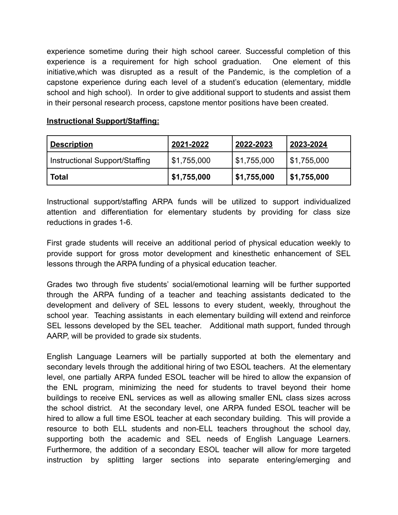experience sometime during their high school career. Successful completion of this experience is a requirement for high school graduation. One element of this initiative,which was disrupted as a result of the Pandemic, is the completion of a capstone experience during each level of a student's education (elementary, middle school and high school). In order to give additional support to students and assist them in their personal research process, capstone mentor positions have been created.

# **Instructional Support/Staffing:**

| <b>Description</b>               | <u>2021-2022</u> | 2022-2023   | 2023-2024   |
|----------------------------------|------------------|-------------|-------------|
| l Instructional Support/Staffing | \$1,755,000      | \$1,755,000 | \$1,755,000 |
| <b>Total</b>                     | \$1,755,000      | \$1,755,000 | \$1,755,000 |

Instructional support/staffing ARPA funds will be utilized to support individualized attention and differentiation for elementary students by providing for class size reductions in grades 1-6.

First grade students will receive an additional period of physical education weekly to provide support for gross motor development and kinesthetic enhancement of SEL lessons through the ARPA funding of a physical education teacher.

Grades two through five students' social/emotional learning will be further supported through the ARPA funding of a teacher and teaching assistants dedicated to the development and delivery of SEL lessons to every student, weekly, throughout the school year. Teaching assistants in each elementary building will extend and reinforce SEL lessons developed by the SEL teacher. Additional math support, funded through AARP, will be provided to grade six students.

English Language Learners will be partially supported at both the elementary and secondary levels through the additional hiring of two ESOL teachers. At the elementary level, one partially ARPA funded ESOL teacher will be hired to allow the expansion of the ENL program, minimizing the need for students to travel beyond their home buildings to receive ENL services as well as allowing smaller ENL class sizes across the school district. At the secondary level, one ARPA funded ESOL teacher will be hired to allow a full time ESOL teacher at each secondary building. This will provide a resource to both ELL students and non-ELL teachers throughout the school day, supporting both the academic and SEL needs of English Language Learners. Furthermore, the addition of a secondary ESOL teacher will allow for more targeted instruction by splitting larger sections into separate entering/emerging and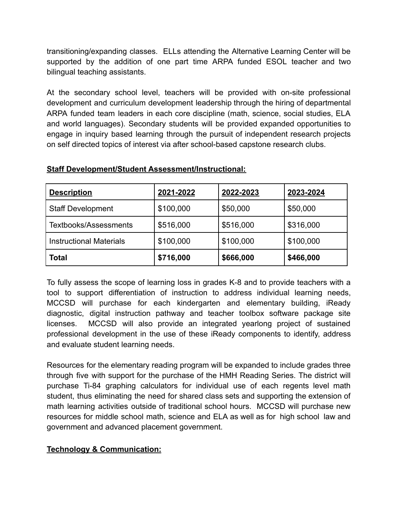transitioning/expanding classes. ELLs attending the Alternative Learning Center will be supported by the addition of one part time ARPA funded ESOL teacher and two bilingual teaching assistants.

At the secondary school level, teachers will be provided with on-site professional development and curriculum development leadership through the hiring of departmental ARPA funded team leaders in each core discipline (math, science, social studies, ELA and world languages). Secondary students will be provided expanded opportunities to engage in inquiry based learning through the pursuit of independent research projects on self directed topics of interest via after school-based capstone research clubs.

| <b>Description</b>             | 2021-2022 | 2022-2023 | 2023-2024 |
|--------------------------------|-----------|-----------|-----------|
| <b>Staff Development</b>       | \$100,000 | \$50,000  | \$50,000  |
| <b>Textbooks/Assessments</b>   | \$516,000 | \$516,000 | \$316,000 |
| <b>Instructional Materials</b> | \$100,000 | \$100,000 | \$100,000 |
| <b>Total</b>                   | \$716,000 | \$666,000 | \$466,000 |

# **Staff Development/Student Assessment/Instructional:**

To fully assess the scope of learning loss in grades K-8 and to provide teachers with a tool to support differentiation of instruction to address individual learning needs, MCCSD will purchase for each kindergarten and elementary building, iReady diagnostic, digital instruction pathway and teacher toolbox software package site licenses. MCCSD will also provide an integrated yearlong project of sustained professional development in the use of these iReady components to identify, address and evaluate student learning needs.

Resources for the elementary reading program will be expanded to include grades three through five with support for the purchase of the HMH Reading Series. The district will purchase Ti-84 graphing calculators for individual use of each regents level math student, thus eliminating the need for shared class sets and supporting the extension of math learning activities outside of traditional school hours. MCCSD will purchase new resources for middle school math, science and ELA as well as for high school law and government and advanced placement government.

# **Technology & Communication:**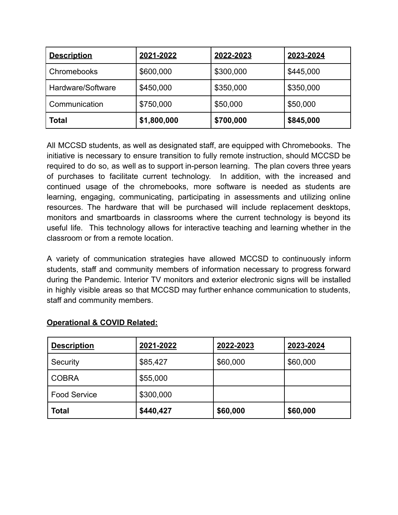| <b>Description</b> | 2021-2022   | 2022-2023 | 2023-2024 |
|--------------------|-------------|-----------|-----------|
| Chromebooks        | \$600,000   | \$300,000 | \$445,000 |
| Hardware/Software  | \$450,000   | \$350,000 | \$350,000 |
| Communication      | \$750,000   | \$50,000  | \$50,000  |
| <b>Total</b>       | \$1,800,000 | \$700,000 | \$845,000 |

All MCCSD students, as well as designated staff, are equipped with Chromebooks. The initiative is necessary to ensure transition to fully remote instruction, should MCCSD be required to do so, as well as to support in-person learning. The plan covers three years of purchases to facilitate current technology. In addition, with the increased and continued usage of the chromebooks, more software is needed as students are learning, engaging, communicating, participating in assessments and utilizing online resources. The hardware that will be purchased will include replacement desktops, monitors and smartboards in classrooms where the current technology is beyond its useful life. This technology allows for interactive teaching and learning whether in the classroom or from a remote location.

A variety of communication strategies have allowed MCCSD to continuously inform students, staff and community members of information necessary to progress forward during the Pandemic. Interior TV monitors and exterior electronic signs will be installed in highly visible areas so that MCCSD may further enhance communication to students, staff and community members.

| <b>Description</b>  | 2021-2022 | 2022-2023 | 2023-2024 |
|---------------------|-----------|-----------|-----------|
| Security            | \$85,427  | \$60,000  | \$60,000  |
| <b>COBRA</b>        | \$55,000  |           |           |
| <b>Food Service</b> | \$300,000 |           |           |
| <b>Total</b>        | \$440,427 | \$60,000  | \$60,000  |

# **Operational & COVID Related:**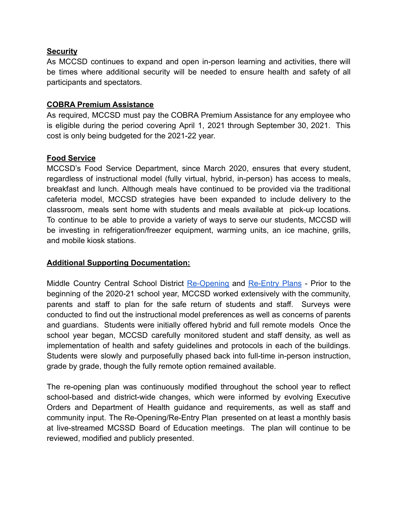# **Security**

As MCCSD continues to expand and open in-person learning and activities, there will be times where additional security will be needed to ensure health and safety of all participants and spectators.

# **COBRA Premium Assistance**

As required, MCCSD must pay the COBRA Premium Assistance for any employee who is eligible during the period covering April 1, 2021 through September 30, 2021. This cost is only being budgeted for the 2021-22 year.

# **Food Service**

MCCSD's Food Service Department, since March 2020, ensures that every student, regardless of instructional model (fully virtual, hybrid, in-person) has access to meals, breakfast and lunch. Although meals have continued to be provided via the traditional cafeteria model, MCCSD strategies have been expanded to include delivery to the classroom, meals sent home with students and meals available at pick-up locations. To continue to be able to provide a variety of ways to serve our students, MCCSD will be investing in refrigeration/freezer equipment, warming units, an ice machine, grills, and mobile kiosk stations.

#### **Additional Supporting Documentation:**

Middle Country Central School District [Re-Opening](https://www.mccsd.net/reopeningplans) and [Re-Entry](https://www.mccsd.net/re-entryplans) Plans - Prior to the beginning of the 2020-21 school year, MCCSD worked extensively with the community, parents and staff to plan for the safe return of students and staff. Surveys were conducted to find out the instructional model preferences as well as concerns of parents and guardians. Students were initially offered hybrid and full remote models Once the school year began, MCCSD carefully monitored student and staff density, as well as implementation of health and safety guidelines and protocols in each of the buildings. Students were slowly and purposefully phased back into full-time in-person instruction, grade by grade, though the fully remote option remained available.

The re-opening plan was continuously modified throughout the school year to reflect school-based and district-wide changes, which were informed by evolving Executive Orders and Department of Health guidance and requirements, as well as staff and community input. The Re-Opening/Re-Entry Plan presented on at least a monthly basis at live-streamed MCSSD Board of Education meetings. The plan will continue to be reviewed, modified and publicly presented.